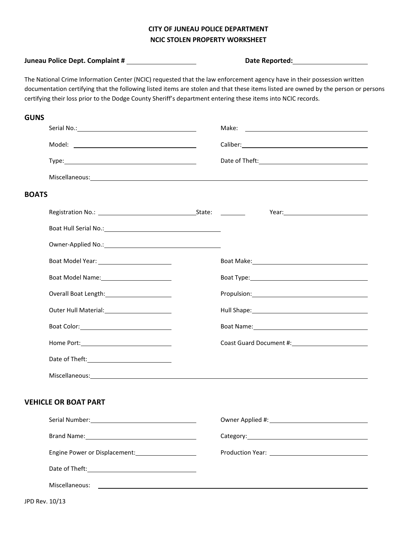## **CITY OF JUNEAU POLICE DEPARTMENT NCIC STOLEN PROPERTY WORKSHEET**

|                                                                                                                                                                                                                                                                                                                                                                                                                                                                                                                                                                                                                                                                                                                                                                                                                                                                                                                                                                                                                                                                                                                                                                                                                                                                                                                                                                                                                                                                                                                                                                                                                                                                                                                                                                                                                                                                                                                                                                                                                                                                                                                                                                                                                                                                                                                                                                  |                |  | Date Reported: National Property of the Contract of the Contract of the Contract of the Contract of the Contract of the Contract of the Contract of the Contract of the Contract of the Contract of the Contract of the Contra |
|------------------------------------------------------------------------------------------------------------------------------------------------------------------------------------------------------------------------------------------------------------------------------------------------------------------------------------------------------------------------------------------------------------------------------------------------------------------------------------------------------------------------------------------------------------------------------------------------------------------------------------------------------------------------------------------------------------------------------------------------------------------------------------------------------------------------------------------------------------------------------------------------------------------------------------------------------------------------------------------------------------------------------------------------------------------------------------------------------------------------------------------------------------------------------------------------------------------------------------------------------------------------------------------------------------------------------------------------------------------------------------------------------------------------------------------------------------------------------------------------------------------------------------------------------------------------------------------------------------------------------------------------------------------------------------------------------------------------------------------------------------------------------------------------------------------------------------------------------------------------------------------------------------------------------------------------------------------------------------------------------------------------------------------------------------------------------------------------------------------------------------------------------------------------------------------------------------------------------------------------------------------------------------------------------------------------------------------------------------------|----------------|--|--------------------------------------------------------------------------------------------------------------------------------------------------------------------------------------------------------------------------------|
| The National Crime Information Center (NCIC) requested that the law enforcement agency have in their possession written<br>documentation certifying that the following listed items are stolen and that these items listed are owned by the person or persons<br>certifying their loss prior to the Dodge County Sheriff's department entering these items into NCIC records.<br><b>GUNS</b><br>Serial No.: 1999 - Serial No.: 2009 - 2009 - 2010 - 2010 - 2010 - 2010 - 2010 - 2010 - 2010 - 2010 - 2010 - 20<br>Caliber: North Caliber 2014<br><b>BOATS</b><br>Year: New York Products and Products and Products and Products and Products and Products and Products and Products and Products and Products and Products and Products and Products and Products and Products and Products and<br>Boat Hull Serial No.: The Contract of the Contract of the Contract of the Contract of the Contract of the Contract of the Contract of the Contract of the Contract of the Contract of the Contract of the Contract of the Cont<br>Owner-Applied No.: No. 2008 10:00 10:00 10:00 10:00 10:00 10:00 10:00 10:00 10:00 10:00 10:00 10:00 10:00 10:0<br>Boat Make: National Property of the Contract of the Contract of the Contract of the Contract of the Contract of the Contract of the Contract of the Contract of the Contract of the Contract of the Contract of the Contract o<br>Boat Model Name: Manual Manual Manual Manual Manual Manual Manual Manual Manual Manual Manual Manual Manual Ma<br>Boat Type: Note and the set of the set of the set of the set of the set of the set of the set of the set of the set of the set of the set of the set of the set of the set of the set of the set of the set of the set of the<br>Overall Boat Length: 2008<br>Propulsion: Propulsion:<br>Hull Shape: 1999 - 1999 - 1999 - 1999 - 1999 - 1999 - 1999 - 1999 - 1999 - 1999 - 1999 - 1999 - 1999 - 1999 - 1<br>Boat Name: 1988 and 2008 and 2008 and 2008 and 2008 and 2008 and 2008 and 2008 and 2008 and 2008 and 2008 and 2008 and 2008 and 2008 and 2008 and 2008 and 2008 and 2008 and 2008 and 2008 and 2008 and 2008 and 2008 and 2008<br>Coast Guard Document #: Coast Guard Document #:<br>Date of Theft:<br>Miscellaneous: 1999 and 2009 and 2009 and 2009 and 2009 and 2009 and 2009 and 2009 and 2009 and 200<br><b>VEHICLE OR BOAT PART</b> |                |  |                                                                                                                                                                                                                                |
|                                                                                                                                                                                                                                                                                                                                                                                                                                                                                                                                                                                                                                                                                                                                                                                                                                                                                                                                                                                                                                                                                                                                                                                                                                                                                                                                                                                                                                                                                                                                                                                                                                                                                                                                                                                                                                                                                                                                                                                                                                                                                                                                                                                                                                                                                                                                                                  |                |  |                                                                                                                                                                                                                                |
|                                                                                                                                                                                                                                                                                                                                                                                                                                                                                                                                                                                                                                                                                                                                                                                                                                                                                                                                                                                                                                                                                                                                                                                                                                                                                                                                                                                                                                                                                                                                                                                                                                                                                                                                                                                                                                                                                                                                                                                                                                                                                                                                                                                                                                                                                                                                                                  |                |  |                                                                                                                                                                                                                                |
|                                                                                                                                                                                                                                                                                                                                                                                                                                                                                                                                                                                                                                                                                                                                                                                                                                                                                                                                                                                                                                                                                                                                                                                                                                                                                                                                                                                                                                                                                                                                                                                                                                                                                                                                                                                                                                                                                                                                                                                                                                                                                                                                                                                                                                                                                                                                                                  |                |  |                                                                                                                                                                                                                                |
|                                                                                                                                                                                                                                                                                                                                                                                                                                                                                                                                                                                                                                                                                                                                                                                                                                                                                                                                                                                                                                                                                                                                                                                                                                                                                                                                                                                                                                                                                                                                                                                                                                                                                                                                                                                                                                                                                                                                                                                                                                                                                                                                                                                                                                                                                                                                                                  |                |  |                                                                                                                                                                                                                                |
|                                                                                                                                                                                                                                                                                                                                                                                                                                                                                                                                                                                                                                                                                                                                                                                                                                                                                                                                                                                                                                                                                                                                                                                                                                                                                                                                                                                                                                                                                                                                                                                                                                                                                                                                                                                                                                                                                                                                                                                                                                                                                                                                                                                                                                                                                                                                                                  |                |  |                                                                                                                                                                                                                                |
|                                                                                                                                                                                                                                                                                                                                                                                                                                                                                                                                                                                                                                                                                                                                                                                                                                                                                                                                                                                                                                                                                                                                                                                                                                                                                                                                                                                                                                                                                                                                                                                                                                                                                                                                                                                                                                                                                                                                                                                                                                                                                                                                                                                                                                                                                                                                                                  |                |  |                                                                                                                                                                                                                                |
|                                                                                                                                                                                                                                                                                                                                                                                                                                                                                                                                                                                                                                                                                                                                                                                                                                                                                                                                                                                                                                                                                                                                                                                                                                                                                                                                                                                                                                                                                                                                                                                                                                                                                                                                                                                                                                                                                                                                                                                                                                                                                                                                                                                                                                                                                                                                                                  |                |  |                                                                                                                                                                                                                                |
|                                                                                                                                                                                                                                                                                                                                                                                                                                                                                                                                                                                                                                                                                                                                                                                                                                                                                                                                                                                                                                                                                                                                                                                                                                                                                                                                                                                                                                                                                                                                                                                                                                                                                                                                                                                                                                                                                                                                                                                                                                                                                                                                                                                                                                                                                                                                                                  |                |  |                                                                                                                                                                                                                                |
|                                                                                                                                                                                                                                                                                                                                                                                                                                                                                                                                                                                                                                                                                                                                                                                                                                                                                                                                                                                                                                                                                                                                                                                                                                                                                                                                                                                                                                                                                                                                                                                                                                                                                                                                                                                                                                                                                                                                                                                                                                                                                                                                                                                                                                                                                                                                                                  |                |  |                                                                                                                                                                                                                                |
|                                                                                                                                                                                                                                                                                                                                                                                                                                                                                                                                                                                                                                                                                                                                                                                                                                                                                                                                                                                                                                                                                                                                                                                                                                                                                                                                                                                                                                                                                                                                                                                                                                                                                                                                                                                                                                                                                                                                                                                                                                                                                                                                                                                                                                                                                                                                                                  |                |  |                                                                                                                                                                                                                                |
|                                                                                                                                                                                                                                                                                                                                                                                                                                                                                                                                                                                                                                                                                                                                                                                                                                                                                                                                                                                                                                                                                                                                                                                                                                                                                                                                                                                                                                                                                                                                                                                                                                                                                                                                                                                                                                                                                                                                                                                                                                                                                                                                                                                                                                                                                                                                                                  |                |  |                                                                                                                                                                                                                                |
|                                                                                                                                                                                                                                                                                                                                                                                                                                                                                                                                                                                                                                                                                                                                                                                                                                                                                                                                                                                                                                                                                                                                                                                                                                                                                                                                                                                                                                                                                                                                                                                                                                                                                                                                                                                                                                                                                                                                                                                                                                                                                                                                                                                                                                                                                                                                                                  |                |  |                                                                                                                                                                                                                                |
|                                                                                                                                                                                                                                                                                                                                                                                                                                                                                                                                                                                                                                                                                                                                                                                                                                                                                                                                                                                                                                                                                                                                                                                                                                                                                                                                                                                                                                                                                                                                                                                                                                                                                                                                                                                                                                                                                                                                                                                                                                                                                                                                                                                                                                                                                                                                                                  |                |  |                                                                                                                                                                                                                                |
|                                                                                                                                                                                                                                                                                                                                                                                                                                                                                                                                                                                                                                                                                                                                                                                                                                                                                                                                                                                                                                                                                                                                                                                                                                                                                                                                                                                                                                                                                                                                                                                                                                                                                                                                                                                                                                                                                                                                                                                                                                                                                                                                                                                                                                                                                                                                                                  |                |  |                                                                                                                                                                                                                                |
|                                                                                                                                                                                                                                                                                                                                                                                                                                                                                                                                                                                                                                                                                                                                                                                                                                                                                                                                                                                                                                                                                                                                                                                                                                                                                                                                                                                                                                                                                                                                                                                                                                                                                                                                                                                                                                                                                                                                                                                                                                                                                                                                                                                                                                                                                                                                                                  |                |  |                                                                                                                                                                                                                                |
|                                                                                                                                                                                                                                                                                                                                                                                                                                                                                                                                                                                                                                                                                                                                                                                                                                                                                                                                                                                                                                                                                                                                                                                                                                                                                                                                                                                                                                                                                                                                                                                                                                                                                                                                                                                                                                                                                                                                                                                                                                                                                                                                                                                                                                                                                                                                                                  |                |  |                                                                                                                                                                                                                                |
|                                                                                                                                                                                                                                                                                                                                                                                                                                                                                                                                                                                                                                                                                                                                                                                                                                                                                                                                                                                                                                                                                                                                                                                                                                                                                                                                                                                                                                                                                                                                                                                                                                                                                                                                                                                                                                                                                                                                                                                                                                                                                                                                                                                                                                                                                                                                                                  |                |  |                                                                                                                                                                                                                                |
|                                                                                                                                                                                                                                                                                                                                                                                                                                                                                                                                                                                                                                                                                                                                                                                                                                                                                                                                                                                                                                                                                                                                                                                                                                                                                                                                                                                                                                                                                                                                                                                                                                                                                                                                                                                                                                                                                                                                                                                                                                                                                                                                                                                                                                                                                                                                                                  |                |  |                                                                                                                                                                                                                                |
|                                                                                                                                                                                                                                                                                                                                                                                                                                                                                                                                                                                                                                                                                                                                                                                                                                                                                                                                                                                                                                                                                                                                                                                                                                                                                                                                                                                                                                                                                                                                                                                                                                                                                                                                                                                                                                                                                                                                                                                                                                                                                                                                                                                                                                                                                                                                                                  |                |  |                                                                                                                                                                                                                                |
|                                                                                                                                                                                                                                                                                                                                                                                                                                                                                                                                                                                                                                                                                                                                                                                                                                                                                                                                                                                                                                                                                                                                                                                                                                                                                                                                                                                                                                                                                                                                                                                                                                                                                                                                                                                                                                                                                                                                                                                                                                                                                                                                                                                                                                                                                                                                                                  |                |  |                                                                                                                                                                                                                                |
|                                                                                                                                                                                                                                                                                                                                                                                                                                                                                                                                                                                                                                                                                                                                                                                                                                                                                                                                                                                                                                                                                                                                                                                                                                                                                                                                                                                                                                                                                                                                                                                                                                                                                                                                                                                                                                                                                                                                                                                                                                                                                                                                                                                                                                                                                                                                                                  |                |  |                                                                                                                                                                                                                                |
|                                                                                                                                                                                                                                                                                                                                                                                                                                                                                                                                                                                                                                                                                                                                                                                                                                                                                                                                                                                                                                                                                                                                                                                                                                                                                                                                                                                                                                                                                                                                                                                                                                                                                                                                                                                                                                                                                                                                                                                                                                                                                                                                                                                                                                                                                                                                                                  |                |  |                                                                                                                                                                                                                                |
|                                                                                                                                                                                                                                                                                                                                                                                                                                                                                                                                                                                                                                                                                                                                                                                                                                                                                                                                                                                                                                                                                                                                                                                                                                                                                                                                                                                                                                                                                                                                                                                                                                                                                                                                                                                                                                                                                                                                                                                                                                                                                                                                                                                                                                                                                                                                                                  | Miscellaneous: |  | <u> 1999 - Johann Stoff, amerikansk politiker (d. 1989)</u>                                                                                                                                                                    |
|                                                                                                                                                                                                                                                                                                                                                                                                                                                                                                                                                                                                                                                                                                                                                                                                                                                                                                                                                                                                                                                                                                                                                                                                                                                                                                                                                                                                                                                                                                                                                                                                                                                                                                                                                                                                                                                                                                                                                                                                                                                                                                                                                                                                                                                                                                                                                                  |                |  |                                                                                                                                                                                                                                |